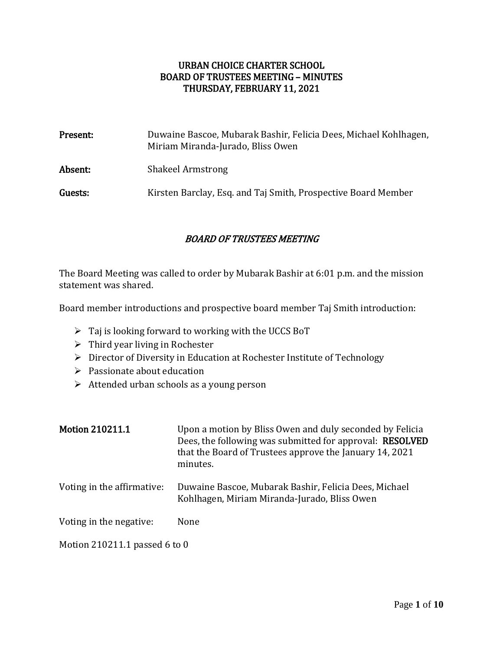#### URBAN CHOICE CHARTER SCHOOL BOARD OF TRUSTEES MEETING – MINUTES THURSDAY, FEBRUARY 11, 2021

| Present: | Duwaine Bascoe, Mubarak Bashir, Felicia Dees, Michael Kohlhagen,<br>Miriam Miranda-Jurado, Bliss Owen |
|----------|-------------------------------------------------------------------------------------------------------|
| Absent:  | <b>Shakeel Armstrong</b>                                                                              |
| Guests:  | Kirsten Barclay, Esq. and Taj Smith, Prospective Board Member                                         |

### BOARD OF TRUSTEES MEETING

The Board Meeting was called to order by Mubarak Bashir at 6:01 p.m. and the mission statement was shared.

Board member introductions and prospective board member Taj Smith introduction:

- $\triangleright$  Taj is looking forward to working with the UCCS BoT
- $\triangleright$  Third year living in Rochester
- ▶ Director of Diversity in Education at Rochester Institute of Technology
- $\triangleright$  Passionate about education
- $\triangleright$  Attended urban schools as a young person

| <b>Motion 210211.1</b>        | Upon a motion by Bliss Owen and duly seconded by Felicia<br>Dees, the following was submitted for approval: <b>RESOLVED</b><br>that the Board of Trustees approve the January 14, 2021<br>minutes. |
|-------------------------------|----------------------------------------------------------------------------------------------------------------------------------------------------------------------------------------------------|
| Voting in the affirmative:    | Duwaine Bascoe, Mubarak Bashir, Felicia Dees, Michael<br>Kohlhagen, Miriam Miranda-Jurado, Bliss Owen                                                                                              |
| Voting in the negative:       | None                                                                                                                                                                                               |
| Motion 210211.1 passed 6 to 0 |                                                                                                                                                                                                    |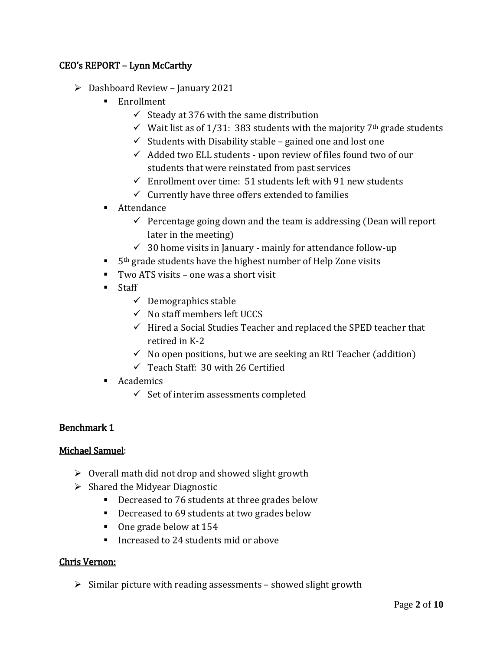### CEO's REPORT – Lynn McCarthy

- $\triangleright$  Dashboard Review January 2021
	- **Enrollment** 
		- $\checkmark$  Steady at 376 with the same distribution
		- $\checkmark$  Wait list as of 1/31: 383 students with the majority 7<sup>th</sup> grade students
		- $\checkmark$  Students with Disability stable gained one and lost one
		- $\checkmark$  Added two ELL students upon review of files found two of our students that were reinstated from past services
		- $\checkmark$  Enrollment over time: 51 students left with 91 new students
		- $\checkmark$  Currently have three offers extended to families
	- Attendance
		- $\checkmark$  Percentage going down and the team is addressing (Dean will report later in the meeting)
		- $\checkmark$  30 home visits in January mainly for attendance follow-up
	- $\blacksquare$  5<sup>th</sup> grade students have the highest number of Help Zone visits
	- Two ATS visits one was a short visit
	- **Staff** 
		- $\checkmark$  Demographics stable
		- $\checkmark$  No staff members left UCCS
		- $\checkmark$  Hired a Social Studies Teacher and replaced the SPED teacher that retired in K-2
		- $\checkmark$  No open positions, but we are seeking an RtI Teacher (addition)
		- $\checkmark$  Teach Staff: 30 with 26 Certified
	- **Academics** 
		- $\checkmark$  Set of interim assessments completed

### Benchmark 1

### Michael Samuel:

- $\triangleright$  Overall math did not drop and showed slight growth
- $\triangleright$  Shared the Midyear Diagnostic
	- Decreased to 76 students at three grades below
	- **Decreased to 69 students at two grades below**
	- One grade below at 154
	- Increased to 24 students mid or above

### Chris Vernon:

 $\triangleright$  Similar picture with reading assessments – showed slight growth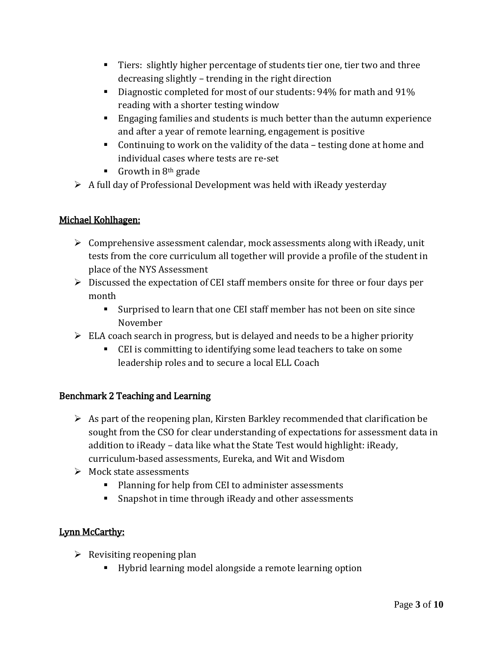- Tiers: slightly higher percentage of students tier one, tier two and three decreasing slightly – trending in the right direction
- Diagnostic completed for most of our students: 94% for math and 91% reading with a shorter testing window
- Engaging families and students is much better than the autumn experience and after a year of remote learning, engagement is positive
- Continuing to work on the validity of the data testing done at home and individual cases where tests are re-set
- Growth in  $8<sup>th</sup>$  grade
- $\triangleright$  A full day of Professional Development was held with iReady yesterday

# Michael Kohlhagen:

- $\triangleright$  Comprehensive assessment calendar, mock assessments along with iReady, unit tests from the core curriculum all together will provide a profile of the student in place of the NYS Assessment
- $\triangleright$  Discussed the expectation of CEI staff members onsite for three or four days per month
	- Surprised to learn that one CEI staff member has not been on site since November
- $\triangleright$  ELA coach search in progress, but is delayed and needs to be a higher priority
	- CEI is committing to identifying some lead teachers to take on some leadership roles and to secure a local ELL Coach

# Benchmark 2 Teaching and Learning

- $\triangleright$  As part of the reopening plan, Kirsten Barkley recommended that clarification be sought from the CSO for clear understanding of expectations for assessment data in addition to iReady – data like what the State Test would highlight: iReady, curriculum-based assessments, Eureka, and Wit and Wisdom
- $\triangleright$  Mock state assessments
	- **Planning for help from CEI to administer assessments**
	- **Shapshot in time through iReady and other assessments**

# Lynn McCarthy:

- $\triangleright$  Revisiting reopening plan
	- Hybrid learning model alongside a remote learning option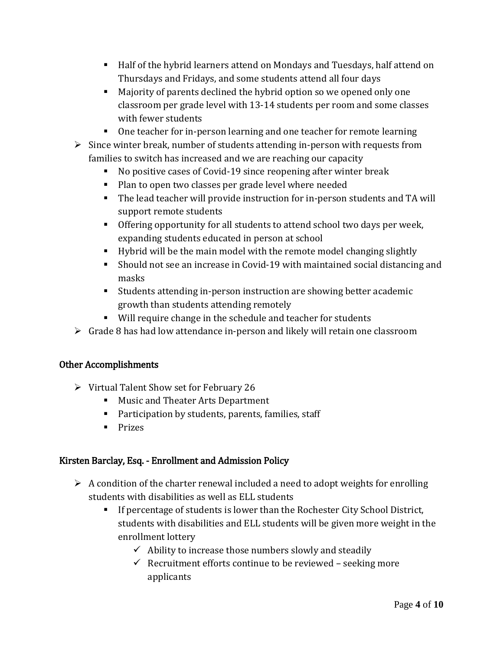- Half of the hybrid learners attend on Mondays and Tuesdays, half attend on Thursdays and Fridays, and some students attend all four days
- Majority of parents declined the hybrid option so we opened only one classroom per grade level with 13-14 students per room and some classes with fewer students
- One teacher for in-person learning and one teacher for remote learning
- $\triangleright$  Since winter break, number of students attending in-person with requests from families to switch has increased and we are reaching our capacity
	- No positive cases of Covid-19 since reopening after winter break
	- **Plan to open two classes per grade level where needed**
	- The lead teacher will provide instruction for in-person students and TA will support remote students
	- Offering opportunity for all students to attend school two days per week, expanding students educated in person at school
	- Hybrid will be the main model with the remote model changing slightly
	- Should not see an increase in Covid-19 with maintained social distancing and masks
	- Students attending in-person instruction are showing better academic growth than students attending remotely
	- Will require change in the schedule and teacher for students
- $\triangleright$  Grade 8 has had low attendance in-person and likely will retain one classroom

# Other Accomplishments

- $\triangleright$  Virtual Talent Show set for February 26
	- **Music and Theater Arts Department**
	- **Participation by students, parents, families, staff**
	- $\blacksquare$  Prizes

# Kirsten Barclay, Esq. - Enrollment and Admission Policy

- $\triangleright$  A condition of the charter renewal included a need to adopt weights for enrolling students with disabilities as well as ELL students
	- If percentage of students is lower than the Rochester City School District, students with disabilities and ELL students will be given more weight in the enrollment lottery
		- $\checkmark$  Ability to increase those numbers slowly and steadily
		- $\checkmark$  Recruitment efforts continue to be reviewed seeking more applicants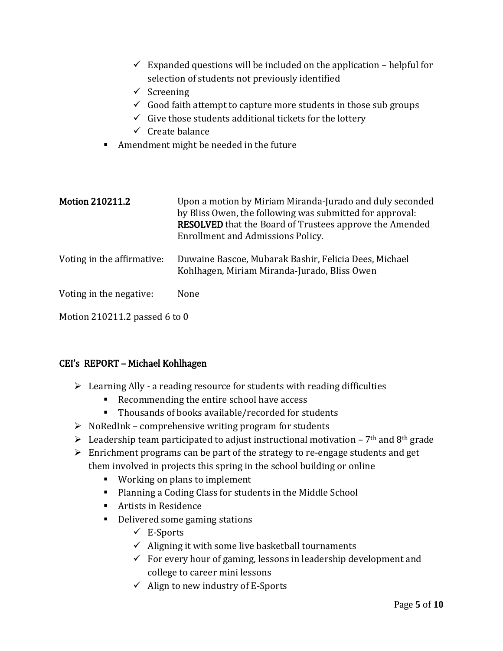| $\checkmark$ Screening<br>п   | $\checkmark$ Expanded questions will be included on the application – helpful for<br>selection of students not previously identified<br>$\checkmark$ Good faith attempt to capture more students in those sub groups<br>$\checkmark$ Give those students additional tickets for the lottery<br>$\checkmark$ Create balance<br>Amendment might be needed in the future |
|-------------------------------|-----------------------------------------------------------------------------------------------------------------------------------------------------------------------------------------------------------------------------------------------------------------------------------------------------------------------------------------------------------------------|
| <b>Motion 210211.2</b>        | Upon a motion by Miriam Miranda-Jurado and duly seconded<br>by Bliss Owen, the following was submitted for approval:<br><b>RESOLVED</b> that the Board of Trustees approve the Amended<br><b>Enrollment and Admissions Policy.</b>                                                                                                                                    |
| Voting in the affirmative:    | Duwaine Bascoe, Mubarak Bashir, Felicia Dees, Michael<br>Kohlhagen, Miriam Miranda-Jurado, Bliss Owen                                                                                                                                                                                                                                                                 |
| Voting in the negative:       | None                                                                                                                                                                                                                                                                                                                                                                  |
| Motion 210211.2 passed 6 to 0 |                                                                                                                                                                                                                                                                                                                                                                       |

### CEI's REPORT – Michael Kohlhagen

- $\triangleright$  Learning Ally a reading resource for students with reading difficulties
	- Recommending the entire school have access
	- Thousands of books available/recorded for students
- $\triangleright$  NoRedInk comprehensive writing program for students
- Eeadership team participated to adjust instructional motivation  $7<sup>th</sup>$  and  $8<sup>th</sup>$  grade
- $\triangleright$  Enrichment programs can be part of the strategy to re-engage students and get them involved in projects this spring in the school building or online
	- **Working on plans to implement**
	- Planning a Coding Class for students in the Middle School
	- Artists in Residence
	- **•** Delivered some gaming stations
		- $\checkmark$  E-Sports
		- $\checkmark$  Aligning it with some live basketball tournaments
		- $\checkmark$  For every hour of gaming, lessons in leadership development and college to career mini lessons
		- $\checkmark$  Align to new industry of E-Sports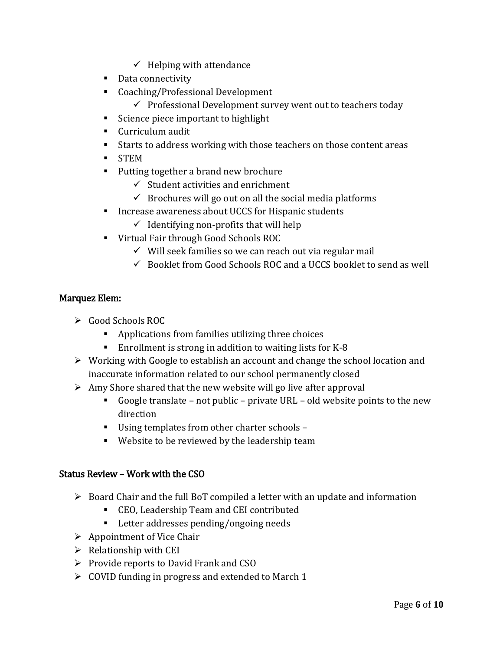- $\checkmark$  Helping with attendance
- Data connectivity
- Coaching/Professional Development
	- $\checkmark$  Professional Development survey went out to teachers today
- Science piece important to highlight
- Curriculum audit
- Starts to address working with those teachers on those content areas
- STEM
- Putting together a brand new brochure
	- $\checkmark$  Student activities and enrichment
	- $\checkmark$  Brochures will go out on all the social media platforms
- **Increase awareness about UCCS for Hispanic students** 
	- $\checkmark$  Identifying non-profits that will help
- Virtual Fair through Good Schools ROC
	- $\checkmark$  Will seek families so we can reach out via regular mail
	- $\checkmark$  Booklet from Good Schools ROC and a UCCS booklet to send as well

# Marquez Elem:

- Good Schools ROC
	- Applications from families utilizing three choices
	- Enrollment is strong in addition to waiting lists for K-8
- $\triangleright$  Working with Google to establish an account and change the school location and inaccurate information related to our school permanently closed
- $\triangleright$  Amy Shore shared that the new website will go live after approval
	- Google translate not public private URL old website points to the new direction
	- Using templates from other charter schools –
	- Website to be reviewed by the leadership team

### Status Review – Work with the CSO

- $\triangleright$  Board Chair and the full BoT compiled a letter with an update and information
	- CEO, Leadership Team and CEI contributed
	- Letter addresses pending/ongoing needs
- $\triangleright$  Appointment of Vice Chair
- $\triangleright$  Relationship with CEI
- $\triangleright$  Provide reports to David Frank and CSO
- $\triangleright$  COVID funding in progress and extended to March 1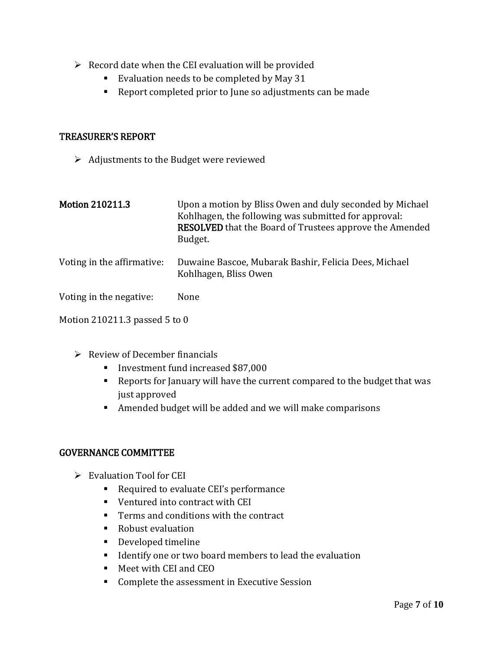- $\triangleright$  Record date when the CEI evaluation will be provided
	- Evaluation needs to be completed by May 31
	- Report completed prior to June so adjustments can be made

#### TREASURER'S REPORT

 $\triangleright$  Adjustments to the Budget were reviewed

| <b>Motion 210211.3</b>        | Upon a motion by Bliss Owen and duly seconded by Michael<br>Kohlhagen, the following was submitted for approval:<br><b>RESOLVED</b> that the Board of Trustees approve the Amended<br>Budget. |
|-------------------------------|-----------------------------------------------------------------------------------------------------------------------------------------------------------------------------------------------|
| Voting in the affirmative:    | Duwaine Bascoe, Mubarak Bashir, Felicia Dees, Michael<br>Kohlhagen, Bliss Owen                                                                                                                |
| Voting in the negative:       | None                                                                                                                                                                                          |
| Motion 210211.3 passed 5 to 0 |                                                                                                                                                                                               |

- $\triangleright$  Review of December financials
	- Investment fund increased \$87,000
	- Reports for January will have the current compared to the budget that was just approved
	- Amended budget will be added and we will make comparisons

### GOVERNANCE COMMITTEE

- $\triangleright$  Evaluation Tool for CEI
	- Required to evaluate CEI's performance
	- Ventured into contract with CEI
	- **Terms and conditions with the contract**
	- Robust evaluation
	- **Developed timeline**
	- **IDENTIFY ONEX** I dentify one or two board members to lead the evaluation
	- Meet with CEI and CEO
	- **Complete the assessment in Executive Session**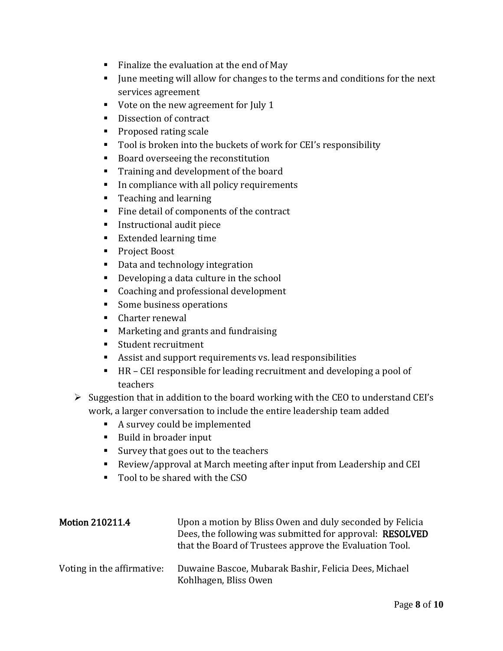- Finalize the evaluation at the end of May
- If  $\blacksquare$  June meeting will allow for changes to the terms and conditions for the next services agreement
- Vote on the new agreement for July 1
- Dissection of contract
- **Proposed rating scale**
- Tool is broken into the buckets of work for CEI's responsibility
- Board overseeing the reconstitution
- Training and development of the board
- In compliance with all policy requirements
- **Teaching and learning**
- Fine detail of components of the contract
- **Instructional audit piece**
- Extended learning time
- Project Boost
- Data and technology integration
- Developing a data culture in the school
- Coaching and professional development
- Some business operations
- Charter renewal
- **Marketing and grants and fundraising**
- **Student recruitment**
- Assist and support requirements vs. lead responsibilities
- HR CEI responsible for leading recruitment and developing a pool of teachers
- $\triangleright$  Suggestion that in addition to the board working with the CEO to understand CEI's work, a larger conversation to include the entire leadership team added
	- A survey could be implemented
	- Build in broader input
	- Survey that goes out to the teachers
	- Review/approval at March meeting after input from Leadership and CEI
	- Tool to be shared with the CSO

| <b>Motion 210211.4</b>     | Upon a motion by Bliss Owen and duly seconded by Felicia<br>Dees, the following was submitted for approval: RESOLVED<br>that the Board of Trustees approve the Evaluation Tool. |
|----------------------------|---------------------------------------------------------------------------------------------------------------------------------------------------------------------------------|
| Voting in the affirmative: | Duwaine Bascoe, Mubarak Bashir, Felicia Dees, Michael<br>Kohlhagen, Bliss Owen                                                                                                  |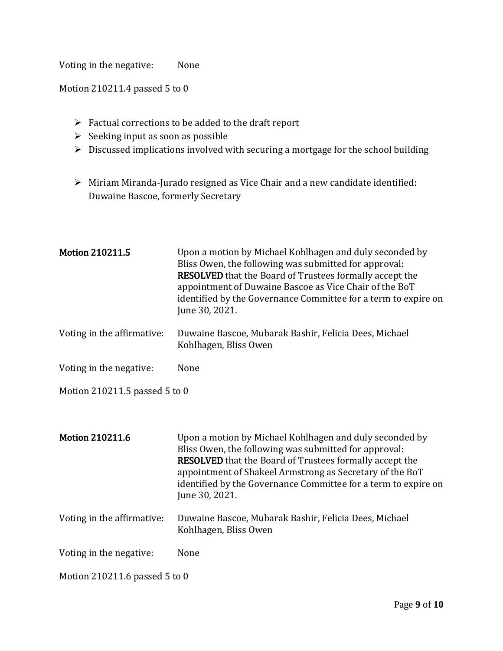Voting in the negative: None

Motion 210211.4 passed 5 to 0

- $\triangleright$  Factual corrections to be added to the draft report
- $\triangleright$  Seeking input as soon as possible
- $\triangleright$  Discussed implications involved with securing a mortgage for the school building
- Miriam Miranda-Jurado resigned as Vice Chair and a new candidate identified: Duwaine Bascoe, formerly Secretary

| <b>Motion 210211.5</b>        | Upon a motion by Michael Kohlhagen and duly seconded by<br>Bliss Owen, the following was submitted for approval:<br><b>RESOLVED</b> that the Board of Trustees formally accept the<br>appointment of Duwaine Bascoe as Vice Chair of the BoT<br>identified by the Governance Committee for a term to expire on<br>June 30, 2021.   |
|-------------------------------|------------------------------------------------------------------------------------------------------------------------------------------------------------------------------------------------------------------------------------------------------------------------------------------------------------------------------------|
| Voting in the affirmative:    | Duwaine Bascoe, Mubarak Bashir, Felicia Dees, Michael<br>Kohlhagen, Bliss Owen                                                                                                                                                                                                                                                     |
| Voting in the negative:       | None                                                                                                                                                                                                                                                                                                                               |
| Motion 210211.5 passed 5 to 0 |                                                                                                                                                                                                                                                                                                                                    |
|                               |                                                                                                                                                                                                                                                                                                                                    |
| <b>Motion 210211.6</b>        | Upon a motion by Michael Kohlhagen and duly seconded by<br>Bliss Owen, the following was submitted for approval:<br><b>RESOLVED</b> that the Board of Trustees formally accept the<br>appointment of Shakeel Armstrong as Secretary of the BoT<br>identified by the Governance Committee for a term to expire on<br>June 30, 2021. |
| Voting in the affirmative:    | Duwaine Bascoe, Mubarak Bashir, Felicia Dees, Michael<br>Kohlhagen, Bliss Owen                                                                                                                                                                                                                                                     |
| Voting in the negative:       | None                                                                                                                                                                                                                                                                                                                               |
| Motion 210211.6 passed 5 to 0 |                                                                                                                                                                                                                                                                                                                                    |